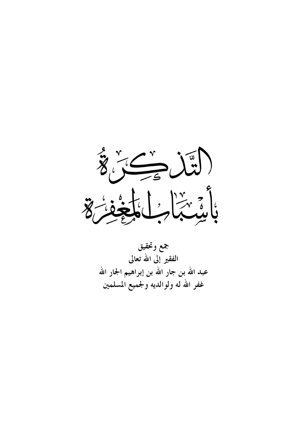

جمع وتحقيق الفقير إلى الله تعالى عبد الله بن جار الله بن إبراهيم الجار الله غفر الله له ولوالديه ولجميع المسلمين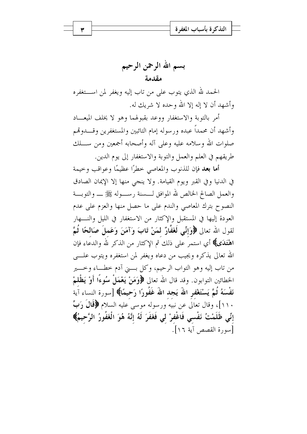بسم الله الرحمن الرحيم مقدمة

الحمد لله الذي يتوب على من تاب إليه ويغفر لمن اســـتغفره وأشهد أن لا إله إلا الله وحده لا شريك له.

أمر بالتوبة والاستغفار ووعد بقبولهما وهو لا يخلف الميعساد وأشهد أن محمداً عبده ورسوله إمام التائبين والمستغفرين وقــــدوتهم صلوات الله وسلامه عليه وعلى آله وأصحابه أجمعين ومن ســـلك طريقهم في العلم والعمل والتوبة والاستغفار إلى يوم الدين.

أما بعد فإن للذنوب والمعاصي خطرًا عظيمًا وعواقب وخيمة في الدنيا وفي القبر ويوم القيامة. ولا ينحي منها إلا الإيمان الصادق والعمل الصالح الخالص لله الموافق لــــسنة رســــوله ﷺ ـــــ والتوبــــة النصوح بترك المعاصي والندم على ما حصل منها والعزم على عدم العودة إليها في المستقبل والإكثار من الاستغفار في الليل والنسهار لقول الله تعالى ﴿وَإِنِّمِي لَغَفَّارٌ لَمَنْ تَابَ وَآمَنَ وَعَملَ صَالحًا ثُمَّ اهْتَدَى﴾ أي استمر على ذلك ثم الإكثار من الذكر لله والدعاء فإن الله تعالى يذكره ويجيب من دعاه ويغفر لمن استغفره ويتوب علـــى من تاب إليه وهو التواب الرحيم، وكل بــــني آدم خطـــاء وخــــير الخطائين التوابون. وقد قال الله تعالى ﴿وَمَنْ يَعْمَلْ سُوءًا أَوْ يَظْلَمْ نَفْسَهُ ثُمَّ يَسْتَغْفر اللهَ يَجد اللهَ غَفُورًا رَحِيمًا﴾ [سورة النساء آية ۱۱۰]، وقال تعالى عن نبيه ورسوله موسى عليه السلام ﴿قَالَ رَبِّ إِنِّي ظَلَمْتُ نَفْسي فَاغْفِرْ لِي فَغَفَرَ لَهُ إِنَّهُ هُوَ الْغَفُورُ الرَّحِيمُ﴾ أسو, ة القصص آية ١٦].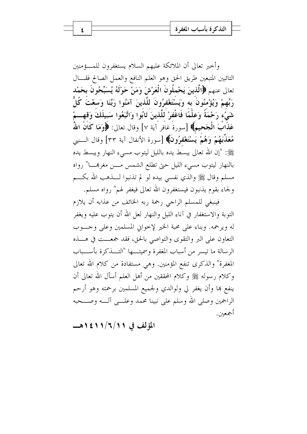وأخبر تعالى أن الملائكة عليهم السلام يستغفرون للمسؤمنين التائبين المتبعين طريق الحق وهو العلم النافع والعمل الصالح فقسال تعالى عنهم ﴿الَّذِينَ يَحْمِلُونَ الْعَرْشَ وَمَنْ حَوْلَهُ يُسَبِّحُونَ بِحَمْدِ رَبِّهِمْ وَيُؤْمِنُونَ بِهِ وَيَسْتَغْفِرُونَ للَّذينَ آمَنُوا رَبَّنَا وَسعْتَ كُلَّ شَيّْءِ رَحْمَةً وَعِلْمًا فَاغْفِرْ لَلَّذِينَ تَابُوا وَاتَّبَعُوا سَبِيلَكَ وَقِهِـــمْ عَذَابٌ الْجَحيمُ﴾ [سورةُ غافر آية ٧] وقال تعالى: ﴿وَمَا كَانَ اللَّهُ مُعَذِّبَهُمْ وَهُمْ يَسْتَغْفُرُونَ﴾ [سورة الأنفال آية ٣٣] وقال الـــنبي ﷺ: "إن الله تعالى يبسط يده بالليل ليتوب مسىء النهار ويبسط يده بالنهار ليتوب مسيء الليل حتى تطلع الشمس مسن مغربهـــا" رواه مسلم وقال ﷺ والذي نفسي بيده لو لم تذنبوا لــــذهب الله بكــــم ولجاء بقوم يذنبون فيستغفرون الله تعالى فيغفر لهم" رواه مسلم.

٤

فينبغي للمسلم الراجي رحمة ربه الخائف من عذابه أن يلازم التوبة والاستغفار في آناء الليل والنهار لعل الله أن يتوب عليه ويغفر له ويرحمه. وبناء على محبة الخير لإخواني المسلمين وعلى وحسوب التعاون على البر والتقوى والتواصي بالحق، فقد جمعــت في هـــذه الرسالة ما تيسر من أسباب المغفرة وسميتها "التـــذكرة بأســـباب المغفرة" والذكرى تنفع المؤمنين. وهي مستفادة من كلام الله تعالى وكلام رسوله ﷺ وكلام المحققين من أهل العلم أسأل الله تعالى أن ينفع بما وأن يغفر لي ولوالدي ولجميع المسلمين برحمته وهو أرحم الراحمين وصلى الله وسلم على نبينا محمد وعلــي آلــه وصـــحبه أجمعين.

المؤلف في ١١/٦/١/١٤١هـــ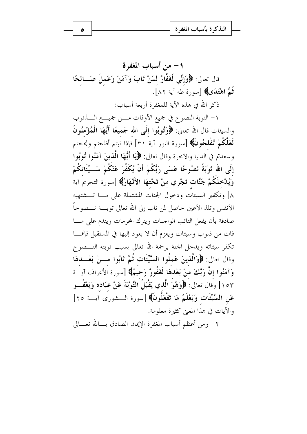١ – من أسباب المغفر ة قال تعالى: ﴿وَإِنِّي لَغَفَّارٌ لَمَنْ تَابَ وَآمَنَ وَعَملَ صَــالحًا ثُمَّ اهْتَدَى﴾ [سورة طه آية ٨٢]. ذكر الله في هذه الآية للمغفرة أربعة أسباب:

١– التوبة النصوح في جميع الأوقات مــــن جميــــع الـــــذنوب والسيئات قال الله تعالى: ﴿وَتُوبُوا إِلَى الله جَميعًا أَيُّهَا الْمُؤْمِنُونَ لَعَلَّكُمْ تُفْلِحُونَ﴾ [سورة النور آية ٣١] فإذا تبتم أفلحتم ونجحتم و سعدتم في الدنيا والآخرة وقال تعالى: ﴿ يَا أَيُّهَا الَّذِينَ آمَنُوا تُوبُوا إِلَى الله تَوْبَةً نَصُوحًا عَسَى رَبُّكُمْ أَنْ يُكَفِّرَ عَنْكُمْ سَــيِّئَاتكُمْ وَيُدْخلَكُمْ جَنَّات تَجْري منْ تَحْتهَا الأَنْهَارُ﴾ [سورة التحريمَ آية ٨] وتكفير السيئات ودحول الجنات المشتملة على مــا تـــشتهيه الأنفس وتلذ الأعين حاصل لمن تاب إلى الله تعالى توبسة نـــصوحاً صادقة بأن يفعل التائب الواجبات ويترك المحرمات ويندم على مسا فات من ذنوب وسيئات ويعزم أن لا يعود إليها في المستقبل فإنهــــا تكفر سيئاته ويدحل الجنة برحمة الله تعالى بسبب توبته النـــصوح وقال تعالى: ﴿وَالَّذِينَ عَمِلُوا السَّيِّئَاتِ ثُمَّ تَابُوا مسنْ بَعْسِدهَا وَآمَنُوا إِنَّ رَبَّكَ مَنْ بَعْدَهَا لَغَفُورٌ رَحَيُّمٌ﴾ [سورة الأعراف آيــَـة ١٥٣] وقال تعالى: ﴿وَهُوَ الَّذِي يَقْبَلُ التَّوْبَةَ عَنْ عِبَادِهِ وَيَعْفُسُو عَنِ السَّيِّئَاتِ وَيَعْلَمُ مَا تَفْعَلُونَ﴾ [سورة الـــشورى آيـــة ٢٥] والآيات في هذا المعنى كثيرة معلومة.

٢– ومن أعظم أسباب المغفرة الإيمان الصادق بـــالله تعــــالى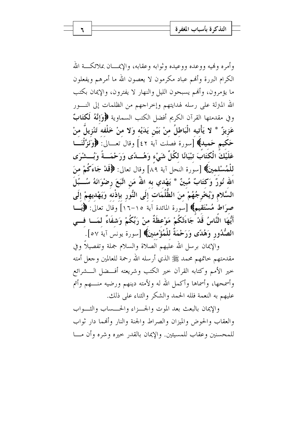وأمره وفميه ووعده ووعيده وثوابه وعقابه، والإيمـــان بملائكـــة الله الكرام البررة وأنهم عباد مكرمون لا يعصون الله ما أمرهم ويفعلون ما يؤمرون، وأُلهم يسبحون الليل والنهار لا يفترون، والإيمان بكتب الله المترلة على رسله لهدايتهم وإحراجهم من الظلمات إلى النـــور وفي مقدمتها القرآن الكريم أفضل الكتب السماوية ﴿وَإِنَّهُ لَكْتَابٌ عَزِيزٌ \* لا يَأْتيه الْبَاطلُ منْ بَيْنِ يَدَيْه وَلا منْ خَلْفه تَنْزِيلٌ منْ حَكيم حَميد﴾ [سورة فصلت آية ٤٢] وقال تعـــالى: ﴿وَلَزَّلْنَـــا عَلَيْكَ الْكَتَابَ تبْيَانًا لكُلِّ شَيْء وَهُـــدًى وَرَحْمَـــةً وَبُـــشْرَى للْمُسْلمينَ﴾ [سورة النحل آية ٨٩] وقال تعالى: ﴿قَلْ جَاءَكُمْ منَ الله نُورٌ ۖ وَكتَابٌ مُبينٌ \* يَهْدي به اللهُ مَن اتَّبَعَ رضْوَانَهُ سُـــبُلَ السَّلامِ وَيُخْرِجُهُمْ منَ الظُّلُمَاتِ إِلَى النُّورِ بِإِذْنِهِ وَيَهْدِيهِمْ إِلَى صرَاط مُسْتَقيمٍ﴾ [سورة المائدة آية ١٥–١٦] وقال تعالى: ﴿يَــا أَيُّهَا النَّاسُ قَلاْ جَاءَتْكُمْ مَوْعظَةٌ منْ رَبِّكُمْ وَشفَاءٌ لمَــا فــى الصُّدُورِ وَهُدًى وَرَحْمَةٌ للْمُؤْمنينَ﴾ [سورة يونس آية ٥٧].

والإيمان برسل الله عليهم الصلاة والسلام جملة وتفصيلاً وفي مقدمتهم حاتمهم محمد ﷺ الذي أرسله الله رحمة للعالمين وحعل أمته حير الأمم وكتابه القرآن حير الكتب وشريعته أفسضل السشرائع وأسمحها، وأسماها وأكمل الله له ولأمته دينهم ورضيه منـــهم وأتم عليهم به النعمة فلله الحمد والشكر والثناء على ذلك.

والإيمان بالبعث بعد الموت والجسزاء والحسساب والثسواب والعقاب والحوض والميزان والصراط والجنة والنار وأفمما دار ثواب للمحسنين وعقاب للمسيئين. والإيمان بالقدر حيره وشره وأن مسا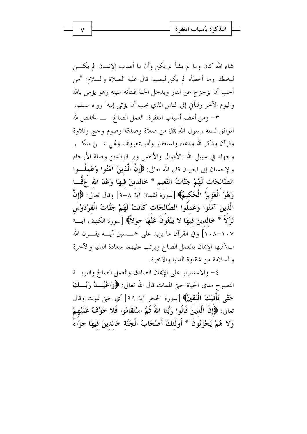شاء الله كان وما لم يشأ لم يكن وأن ما أصاب الإنسان لم يكـــن ليخطئه وما أخطأه لم يكن ليصيبه قال عليه الصلاة والسلام: "من أحب أن يزحزح عن النار ويدحل الجنة فلتأته منيته وهو يؤمن بالله واليوم الآخر وليأتي إلى الناس الذي يحب أن يؤتى إليه" رواه مسلم. ٣- ومن أعظم أسباب المغفرة: العمل الصالح ــ الخالص لله

الموافق لسنة رسول الله ﷺ من صلاة وصدقة وصوم وحج وتلاوة وقرآن وذكر لله ودعاء واستغفار وأمر بمعروف ولهي عسن منكسر وجهاد في سبيل الله بالأموال والأنفس وبر الوالدين وصلة الأرحام والإحسان إلى الجيران قال الله تعالى: ﴿إِنَّ الَّذِينَ آمَنُوا وَعَمِلُــوا الصَّالحَات لَهُمْ جَنَّاتُ النَّعيمِ \* خَالدينَ فيهَا وَعْدَ الله حَقَّـا وَهُوَ الْعَزِيزُ الْحَكِيمُ﴾ [سورة لقمان آية ٨–٩] وقال تعالى: ﴿إِنَّ الَّذِينَ آمَنُوا وَعَمِلُوا الصَّالحَاتِ كَانَتْ لَهُمْ جَنَّاتُ الْفِرْدَوْسِ نُزُلاً \* خَالدينَ فيهَا لا يَبْغُونَ عَنْهَا حوَلاً﴾ [سورة الكهف آيسة ١٠٨–١٠٨] وفي القرآن ما يزيد على خمـــسين آيـــة يقــــرن الله ب\فيها الإيمان بالعمل الصالح ويرتب عليهما سعادة الدنيا والآخرة والسلامة من شقاوة الدنيا والآخرة.

٤- والاستمرار على الإيمان الصادق والعمل الصالح والتوبسة النصوح مدى الحياة حتى الممات قال الله تعالى: ﴿وَاعْبُــــدْ رَبَّـــكَ حَتَّى يَأْتِيَكَ الْيَقِينُ﴾ [سورة الحجر آية ٩٩] أي حتى تموت وقال تعالى: ﴿إِنَّ الَّذِينَ قَالُوا رَبُّنَا اللَّهُ ثُمَّ اسْتَقَامُوا فَلا خَوْفٌ عَلَيْهِمْ وَلا هُمْ يَحْزَنُونَ \* أُولَئكَ أَصْحَابُ الْجَنَّة خَالدينَ فيهَا جَزَاءً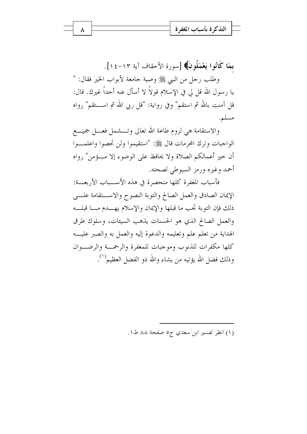بِمَا كَانُوا يَعْمَلُونَ﴾ [سورة الأحقاف آية ١٣-١٤]. وطلب رحل من النبي ﷺ وصية جامعة لأبواب الخير فقال: " يا رسول الله قل لي في الإسلام قولاً لا أسأل عنه أحداً غيرك. قال: قل آمنت بالله ثم استقم" وفي رواية: "قل ربي الله ثم اســـتقم" رواه مسلم.

والاستقامة هي لزوم طاعة الله تعالى وتـــشمل فعـــل جميــــع الواجبات وترك المحرمات قال ﷺ: "استقيموا ولن تحصوا واعلمــوا أن حير أعمالكم الصلاة ولا يحافظ على الوضوء إلا مسؤمن" رواه أحمد وغيره ورمز السيوطي لصحته.

فأسباب المغفرة كلها منحصرة في هذه الأســـباب الأربعـــة: الإيمان الصادق والعمل الصالح والتوبة النصوح والاستقامة علي ذلك فإن التوبة تحب ما قبلها والإيمان والإسلام يهسدم مسا قبلسه والعمل الصالح الذي هو الحسنات يذهب السيئات، وسلوك طرق الهداية من تعلَّم علم وتعليمه والدعوة إليه والعمل به والصبر عليه كلها مكفرات للذنوب وموجبات للمغفرة والرحمسة والرضيوان وذلك فضل الله يؤتيه من يشاء والله ذو الفضل العظيم```.

(١) انظر تفسير ابن سعدي ج٥ صفحة ٨٨ ط١.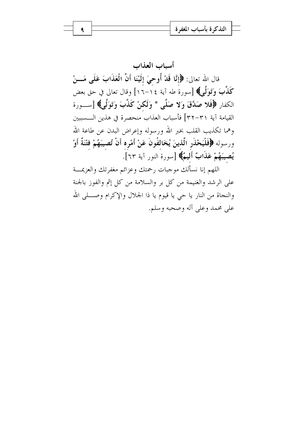أسباب العذاب قال الله تعالى: ﴿إِنَّا قَدْ أُوحِيَ إِلَيْنَا أَنَّ الْعَذَابَ عَلَى مَـــنْ كَذَّبَ وَتَوَلَّمِي﴾ [سورة طه آية ١٤–١٦] وقال تعالى في حق بعض الكفار ﴿فَلا صَدَّقَ وَلا صَلَّى \* وَلَكنْ كَذَّبَ وَتَوَلَّى﴾ [ســـورة القيامة آية ٣١-٣٢] فأسباب العذاب منحصرة في هذين الـــسببين وهما تكذيب القلب بخبر الله ورسوله وإعراض البدن عن طاعة الله ورسوله ﴿فَلْيَحْذَرِ الَّذِينَ يُخَالِفُونَ عَنْ أَمْرِهِ أَنْ تُصِيبَهُمْ فِتْنَةٌ أَوْ يُصيبَهُمْ عَذَابٌ أَلَيمٌ﴾ [سورة النور آية ٦٣].

اللهم إنا نسألك موجبات رحمتك وعزائم مغفرتك والعزيمـــة على الرشد والغنيمة من كل بر والسلامة من كل إثم والفوز بالجنة والنجاة من النار يا حي يا قيوم يا ذا الجلال والإكرام وصــــلى الله على محمد وعلى آله وصحبه وسلم.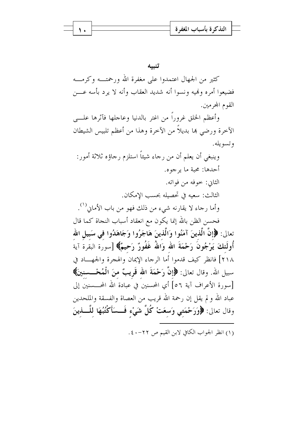|  |  | م - التد کر ۃ باسباب الم <i>عو</i> ہـ |  |
|--|--|---------------------------------------|--|
|  |  |                                       |  |
|  |  |                                       |  |

كثير من الجهال اعتمدوا على مغفرة الله ورحمتــه وكرمـــه فضيعوا أمره ونميه ونسوا أنه شديد العقاب وأنه لا يرد بأسه عـــن القوم المجرمين.

وأعظم الخلق غروراً من اغتر بالدنيا وعاجلها فآثرها علـــى الآخرة ورضى ها بديلاً من الآخرة وهذا من أعظم تلبيس الشيطان و تسو يله.

وينبغي أن يعلم أن من رجاء شيئاً استلزم رجاؤه ثلاثة أمور: أحدها: محبة ما يرجوه. الثاني: خوفه من فواته. الثالث: سعيه في تحصيله بحسب الامكان. وأما رجاء لا يقارنه شيء من ذلك فهو من باب الأماني<sup>(١)</sup>.

فحسن الظن بالله إنما يكون مع انعقاد أسباب النجاة كما قال تعالى: ﴿إِنَّ الَّذِينَ آمَنُوا وَالَّذِينَ هَاجَرُوا وَجَاهَدُوا في سَبِيلِ الله أُولَٰئكَ يَرْجُونَ رَحْمَةَ الله وَاللهُ غَفُورٌ رَحيمٌ﴾ [سورة البقرة آية ٢١٨] فانظر كيف قدموا أما الرجاء الإيمان والهجرة والجهساد في سبيل الله. وقال تعالى: ﴿إِنَّ رَحْمَةَ الله قَرِيبٌ منَ الْمُحْـــسنينَ﴾ [سورة الأعراف آية ٥٦] أي المحسنين في عبادة الله المحـــسنين إلى عباد الله و لم يقل إن رحمة الله قريب من العصاة والفسقة والملحدين وقال تعالى: ﴿وَرَحْمَتِي وَسعَتْ كُلَّ شَيْءٍ فَــسَأَكْتُبُهَا لِلَّـــٰذينَ

(١) انظر الجواب الكافي لابن القيم ص ٢٢-٤٠.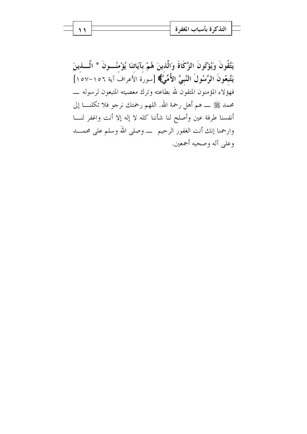يَتَّقُونَ وَيُؤْتُونَ الزَّكَاةَ وَالَّذينَ هُمْ بِآيَاتنَا يُؤْمنُــونَ \* الَّـــذينَ يَتَّبعُونَ الرَّسُولَ النَّبيَّ الأُمِّيُّ﴾ [سورة الأعراف آية ١٥٦–١٥٧] محمد ﷺ ـــ هم أهل رحمة الله. اللهم رحمتك نرجو فلا تكلنــــا إلى أنفسنا طرفة عين وأصلح لنا شأننا كله لا إله إلا أنت واغفر لنــــا وارحمنا إنك أنت الغفور الرحيم \_ وصلى الله وسلم على محمـــد وعلى آله وصحبه أجمعين.

۱۱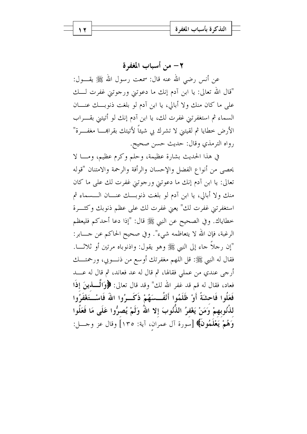٢ - من أسباب المغفر ة عن أنس رضي الله عنه قال: سمعت رسول الله ﷺ يقـــول: "قال الله تعالى: يا ابن آدم إنك ما دعوتني ورجوتني غفرت لـــك على ما كان منك ولا أبالي، يا ابن آدم لو بلغت ذنوبـــك عنــــان السماء ثم استغفرتني غفرت لك، يا ابن آدم إنك لو أتيتني بقـــراب الأرض خطايا ثم لقيتني لا تشرك بي شيئاً لأتيتك بقرابهــــا مغفــــرة" رواه الترمذي وقال: حديث حسن صحيح.

في هذا الحديث بشارة عظيمة، وحلم وكرم عظيم، ومــا لا يحصى من أنواع الفضل والإحسان والرأفة والرحمة والامتنان "قوله تعالى: يا ابن آدم إنك ما دعوتني ورجوتني غفرت لك على ما كان منك ولا أبالي، يا ابن آدم لو بلغت ذنوبــك عنـــان الـــسماء ثم استغفرتني غفرت لك" يعنى غفرت لك على عظم ذنوبك وكثـــرة خطاياك. وفي الصحيح عن النبي ﷺ قال: "إذا دعا أحدكم فليعظم الرغبة، فإن الله لا يتعاظمه شيء". وفي صحيح الحاكم عن حــــابر: "إن رحلاً حاء إلى النبي ﷺ وهو يقول: واذنوباه مرتين أو ثلاثـــا. فقال له النبي ﷺ: قل اللهم مغفرتك أوسع من ذنــوبي، ورحمتـــك أرجى عندي من عملي فقالها، ثم قال له عد فعاند، ثم قال له عـــد فعاد، فقال له قم قد غفر الله لك" وقد قال تعالى: ﴿وَالْمُسْلَمِينَ إِذَا فَعَلُوا فَاحشَةً أَوْ ظَلَمُوا أَنْفُــسَهُمْ ذَكَــرُوا اللهَ فَاسْــتَغْفَرُوا لذُنُو بِهِمْ وَمَنْ يَغْفِرُ الذُّنُوبَ إِلاّ اللهُ وَلَمْ يُصِرُّوا عَلَى مَا فَعَلُوا وَهُمْ يَعْلَمُونَ﴾ [سورة آل عمران، آية: ١٣٥] وقال عز وحـــل: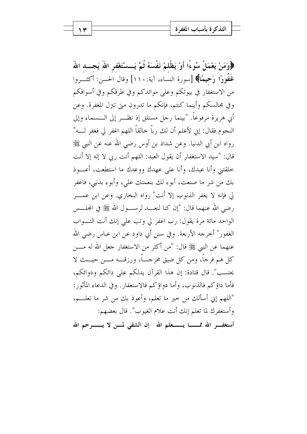﴿وَمَنْ يَعْمَلْ سُوءًا أَوْ يَظْلَمْ نَفْسَهُ ثُمَّ يَــسْتَغْفِرِ اللَّهَ يَجـــد اللَّهَ غَفُورًا رَحِيمًا﴾ [سورة النساء، آية:١١٠] وقال الحسن: أكثــروا من الاستغفار في بيوتكم وعلى موائدكم وفي طرقكم وفي أسواقكم وفي مجالسكم وأينما كنتم، فإنكم ما تدرون متى تنزل المغفرة. وعن أبي هريرة مرفوعاً. "بينما رحل مستلق إذ نظـــر إلى الــــسماء وإلى النجوم فقال: إين لأعلم أن لك رباً خالقاً اللهم اغفر لي فغفر لــــه" رواه ابن أبي الدنيا. وعن شداد بن أوس رضي الله عنه عن النبي ﷺ قال: "سيد الاستغفار أن يقول العبد: اللهم أنت ربي لا إله إلا أنت خلقتني وأنا عبدك، وأنا على عهدك ووعدك ما استطعت، أعـــوذ بك من شر ما صنعت، أبوء لك بنعمتك على، وأبوء بذنبي، فاغفر لى فإنه لا يغفر الذنوب إلا أنت" رواه البخاري. وعن ابن عمـــر رضي الله عنهما قال: "إن كنا لنعـــد لرســـول الله ﷺ في المجلـــس الواحد مائة مرة يقول: رب اغفر لي وتب على إنك أنت التـــواب الغفور" أخرجه الأربعة. وفي سنن أبي داود عن ابن عباس رضي الله عنهما عن النبي ﷺ قال: "من أكثر من الاستغفار جعل الله له مــــن كل هم فرجاً، ومن كل ضيق مخرجـــاً، ورزقــــه مــــن حيــــث لا يحتسب". قال قتادة: إن هذا القرآن يدلكم على دائكم ودوائكم، فأما داؤكم فالذنوب، وأما دواؤكم فالاستغفار. وفي الدعاء المأثور: "اللهم إني أسألك من حيرٍ ما تعلم، وأعوذ بك من شرٍ ما تعلـــم، وأستغفرك لما تعلم إنك أنت علام الغيوب". قال بعضهم: أستغف الله ممـــــا يــــــعلم الله - إن الشقى لمــــن لا يـــــــــوحم الله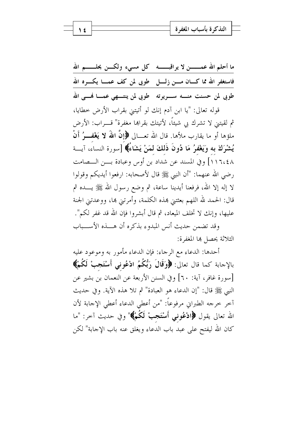ما أحلم الله عمـــــــــن لا يراقبـــــــــه كل مسيء ولكــــن يحلــــــــم الله فاستغفر الله مما كـــان مــــن زلــــل طوبى لمن كف عمــــا يكـــــره الله طوبی لمن حسنت منسه سـویرته گطوبی لمن ینتــهی عمــا فمــی الله

قوله تعالى: "يا ابن آدم إنك لو أتيتني بقراب الأرض خطايا، ثم لقيتني لا تشرك بي شيئاً، لأتيتك بقراها مغفرة" قــــراب: الأرض ملؤها أو ما يقارب ملأها. قال الله تعـــالى ﴿إِنَّ اللَّهَ لا يَغْفـــوُ أَنْ يُشْرَكَ بِهِ وَيَغْفِرُ مَا دُونَ ذَلِكَ لَمَنْ يَشَاءُ﴾ [سورة النساء، آيسة ١١٦،٤٨] وفي المسند عن شداد بن أوس وعبادة بسن السصامت رضي الله عنهما: "أن النبي ﷺ قال لأصحابه: ارفعوا أيديكم وقولوا لا إله إلا الله، فرفعنا أيدينا ساعة، ثم وضع رسول الله ﷺ يــــده ثم قال: الحمد لله اللهم بعثتني هذه الكلمة، وأمرتني ها، ووعدتني الجنة عليها، وإنك لا تخلف الميعاد، ثم قال أبشروا فإن الله قد غفر لكم". وقد تضمن حديث أنس المبدوء بذكره أن هـــذه الأســـباب

الثلاثة يحصل ها المغفرة:

أحدها: الدعاء مع الرجاء: فإن الدعاء مأمور به وموعود عليه بالإجابة كما قال تعالى: ﴿وَقَالَ رَبُّكُمُ ادْعُونِي أَسْتَجِبْ لَكُمْ﴾ [سورة غافر، آية: ٦٠] وفي السنن الأربعة عن النعمان بن بشير عن النبي ﷺ قال: "إن الدعاء هو العبادة" ثم تلا هذه الآية. وفي حديث آخر خرجه الطبراني مرفوعاً: "من أعطي الدعاء أعطي الإجابة لأن الله تعالى يقول ﴿ادْعُونِي أَسْتَجِبْ لَكُمْ﴾" وفي حديث آخر: "ما كان الله ليفتح على عبد باب الدعاء ويغلق عنه باب الإجابة" لكن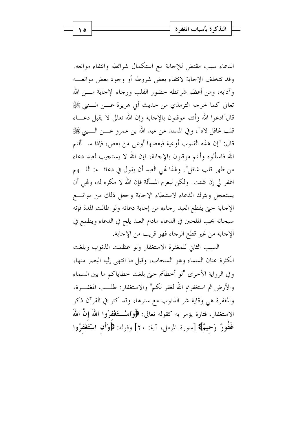الدعاء سبب مقتض للإجابة مع استكمال شرائطه وانتفاء موانعه. وقد تتخلف الإجابة لانتفاء بعض شروطه أو وجود بعض موانعسه وآدابه، ومن أعظم شرائطه حضور القلب ورحاء الإجابة مــــن الله تعالى كما خرجه الترمذي من حديث أبي هريرة عــــن الــــنبي ﷺ قال"ادعوا الله وأنتم موقنون بالإحابة وإن الله تعالى لا يقبل دعـــاء قلب غافل لاه"، وفي المسند عن عبد الله بن عمرو عــــن الــــنبي ﷺ قال: "إن هذه القلوب أوعية فبعضها أوعى من بعض، فإذا ســـألتم الله فاسألوه وأنتم موقنون بالإحابة، فإن الله لا يستجيب لعبد دعاء من ظهر قلب غافل". ولهذا لهي العبد أن يقول في دعائــــه: اللــــهم اغفر لي إن شئت. ولكن ليعزم المسألة فإن الله لا مكره له، ولهي أن يستعجل ويترك الدعاء لاستبطاء الإجابة وجعل ذلك من موانسع الإجابة حتى يقطع العبد رجاءه من إجابة دعائه ولو طالت المدة فإنه سبحانه يحب الملحين في الدعاء مادام العبد يلح في الدعاء ويطمع في الإجابة من غير قطع الرجاء فهو قريب من الإجابة.

السبب الثاني للمغفرة الاستغفار ولو عظمت الذنوب وبلغت الكثرة عنان السماء وهو السحاب، وقيل ما انتهى إليه البصر منها، وفي الرواية الأخرى "لو أخطأتم حتى بلغت خطاياكم ما بين السماء والأرض ثم استغفرتم الله لغفر لكم" والاستغفار: طلـــب المغفـــرة، والمغفرة هي وقاية شر الذنوب مع سترها، وقد كثر في القرآن ذكر الاستغفار، فتارة يؤمر به كقوله تعالى: ﴿وَاسْــتَغْفَعْرُوا اللَّهَ إِنَّ اللَّهَ غَفُورٌ رَحِيمٌ﴾ [سورة المزمل، آية: ٢٠] وقوله: ﴿وَأَنِ اسْتَغْفِرُوا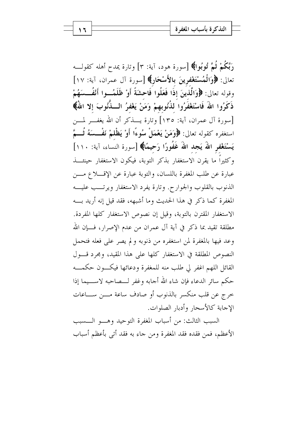رَبَّكُمْ ثُمَّ تُوبُوا﴾ [سورة هود، آية: ٣] وتارة يمدح أهله كقولـــه تعالى: ﴿وَالْمُسْتَغْفِرِينَ بِالأَسْحَارِ﴾ [سورة آل عمران، آية: ١٧] وقوله تعالى: ﴿وَالَّذِينَ إِذَا فَعَلُوا فَاحِشَةً أَوْ ظَلَمُــوا أَنْفُــسَهُمْ ذَكَرُوا اللَّهَ فَاسْتَغْفَرُوا لذُنُوبِهِمْ وَمَنْ يَغْفِرُ الْـــذّْنُوبَ إِلاّ اللَّهُ﴾ [سورة آل عمران، آية: ١٣٥] وتارة يــــذكر أن الله يغفـــر لمــــن استغفره كقوله تعالى: ﴿وَمَنْ يَعْمَلْ سُوءًا أَوْ يَظْلَمْ نَفْــسَهُ ثُـــمَّ يَسْتَغْفِرِ اللَّهَ يَجِدِ اللَّهَ غَفُورًا رَحِيمًا﴾ [سورة النساء، آية: ١١٠] وكثيراً ما يقرن الاستغفار بذكر التوبة، فيكون الاستغفار حينئــــذ عبارة عن طلب المغفرة باللسان، والتوبة عبارة عن الإقــــلاع مــــن الذنوب بالقلوب والجوارح. وتارة يفرد الاستغفار ويرتــب عليـــه المغفرة كما ذكر في هذا الحديث وما أشبهه، فقد قيل إنه أريد بـــه الاستغفار المقترن بالتوبة، وقيل إن نصوص الاستغفار كلها المفردة. مطلقة تقيد بما ذكر في آية آل عمران من عدم الإصرار، فـــإن الله وعد فيها بالمغفرة لمن استغفره من ذنوبه ولم يصر على فعله فتحمل النصوص المطلقة في الاستغفار كلها على هذا المقيد، ومجرد قسول القائل اللهم اغفر لي طلب منه للمغفرة ودعائها فيكسون حكمسه حكم سائر الدعاء فإن شاء الله أجابه وغفر لـــصاحبه لاســـيما إذا حرج عن قلب منكسر بالذنوب أو صادف ساعة مـــن ســـاعات الإجابة كالأسحار وأدبار الصلوات.

السبب الثالث: من أسباب المغفرة التوحيد وهـو الــسبب الأعظم، فمن فقده فقد المغفرة ومن جاء به فقد أتى بأعظم أسباب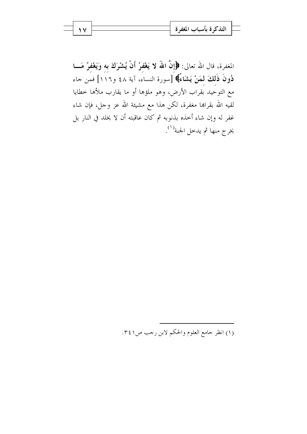المغفرة، قال الله تعالى: ﴿إِنَّ اللَّهَ لا يَغْفِرُ أَنْ يُشْرَكَ بِهِ وَيَغْفِرُ مَـــا دُونَ ذَلكَ لمَنْ يَشَاءُ﴾ [سورة النساء، آية ٤٨ و١١٦] فمَن جاء مع التوحيد بقراب الأرض، وهو ملؤها أو ما يقارب ملأها حطايا لقيه الله بقراهما مغفرة، لكن هذا مع مشيئة الله عز وجل، فإن شاء غفر له وإن شاء أحذه بذنوبه ثم كان عاقبته أن لا يخلد في النار بل يخرج منها ثم يدحل الجنة<sup>(١)</sup>.

(١) انظر جامع العلوم والحكم لابن رحب ص٢٤١.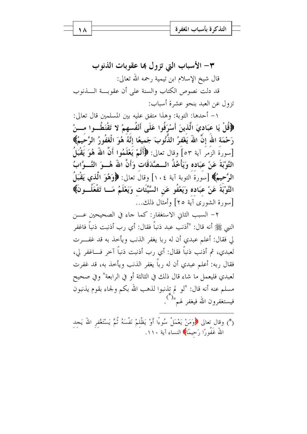٣- الأسباب التي تزول ها عقوبات الذنوب قال شيخ الإسلام ابن تيمية رحمه الله تعالى: قد دلت نصوص الكتاب والسنة على أن عقوبة السذنوب تزول عن العبد بنحو عشرة أسباب:

١ – أحدها: التوبة: وهذا متفق عليه بين المسلمين قال تعالى: ﴿قُلْ يَا عبَاديَ الَّذينَ أَسْرَفُوا عَلَى أَنْفُسهمْ لا تَقْنَطُــوا مـــنْ رَحْمَة اللهُ إِنَّ اللهَ يَغْفِرُ الذُّنُوبَ جَميعًا إِنَّهُ هُوَ الْغَفُورُ الرَّحْيمُ﴾ [سورة الزَّمَر آية ٥٣] وقال تعالى: ﴿أَلَمْ يَعْلَمُوا أَنَّ اللهُ هُوَ يَقْبَلُ التَّوْبَةَ عَنْ عبَاده وَيَأْخُذُ الــصَّدَقَات وَأَنَّ اللهَ هُـــوَ التَّـــوَّابُ الرَّحيمُ﴾ [سورةُ التوبة آية ١٠٤] وقالُ تعالى: ﴿وَهُوَ الَّذِي يَقْبَلُ التَّوْبَةَ عَنْ عبَاده وَيَعْفُو عَنِ السَّيِّئَات وَيَعْلَمُ مَــا تَفْعَلُـــونَ﴾ [سورة الشورى آية ٢٥] وأمثال ذلك...

٢- السبب الثاني الاستغفار: كما جاء في الصحيحين عــــن النبي ﷺ أنه قال: "أذنب عبد ذنباً فقال: أي رِب أذنبت ذنباً فاغفر لى فقال: أعلم عبدي أن له ربا يغفر الذنب ويأخذ به قد غفـــرت لعبدي، ثم أذنب ذنباً فقال: أي رب أذنبت ذنباً آخر فــاغفر لي، فقال , به: أعلم عبدي أن له , باً يغفر الذنب ويأخذ به، قد غفرت لعبدي فليعمل ما شاء قال ذلك في الثالثة أو في الرابعة" وفي صحيح مسلم عنه أنه قال: "لو لم تذنبوا لذهب الله بكم ولجاء بقوم يذنبون فيستغفرون الله فيغفر لهم" .<br>فيستغفرون الله فيغفر لهم" .

(\*) وقال تعالى ﴿وَمَنْ يَعْمَلْ سُوءًا أَوْ يَظْلَمْ نَفْسَهُ ثُمَّ يَسْتَغْفر اللّهَ يَجد اللَّهَ غَفُورًا رَحيمًا﴾ النساء آية ١١٠.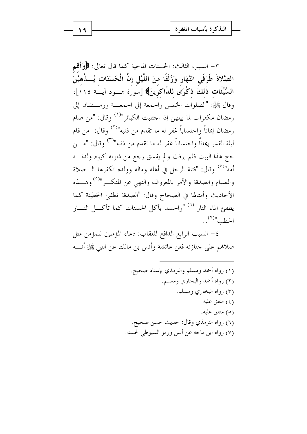٣- السبب الثالث: الحسنات الماحية كما قال تعالى: ﴿وَأَقِم الصَّلاةَ طَرَفَى النَّهَارِ وَزُلَفًا منَ اللَّيْلِ إنَّ الْحَسَنَاتِ يُسِذْهِبْنَ السَّيِّئَات ذَلكَ ذِكْرَى للذَّاكرِينَ﴾ [سورة هـــود آيـــة ١١٤]، وقال ﷺ: "الصلوات الخمس والجمعة إلى الجمعـــة ورمـــضان إلى رمضان مكفرات لما بينهن إذا احتنبت الكبائر"<sup>(١)</sup> وقال: "من صام رمضان إيماناً واحتساباً غفر له ما تقدم من ذنبه"<sup>(٢)</sup> وقال: "من قام ليلة القدر إيماناً واحتساباً غفر له ما تقدم من ذنبه"<sup>(٣)</sup> وقال: "مـــــن حج هذا البيت فلم يرفث ولم يفسق رحع من ذنوبه كيوم ولدتـــه أمه"<sup>(٤)</sup> وقال: "فتنة الرجل في أهله وماله وولده تكفرها الـــصلاة والصيام والصدقة والأمر بالمعروف والنهي عن المنكــر"<sup>(٥)</sup> وهـــذه الأحاديث وأمثالها في الصحاح وقال: "الصدقة تطفئ الخطيئة كما يطفئ الماء النار"<sup>(٦)</sup> "والحسد يأكل الحسنات كما تأكــل النـــار  $\mathcal{L}^{(V)}$ الحطب"

٤ – السبب الرابع الدافع للعقاب: دعاء المؤمنين للمؤمن مثل صلاقمم على جنازته فعن عائشة وأنس بن مالك عن النبي ﷺ أنــــه

> (١) رواه أحمد ومسلم والترمذي بإسناد صحيح. (٢) رواه أحمد والبخاري ومسلم. (۳) رواه البخاري ومسلم. (٤) متفق عليه. (٥) متفق عليه. (٦) رواه الترمذي وقال: حديث حسن صحيح. (٧) رواه ابن ماجه عن أنس ورمز السيوطي لحسنه.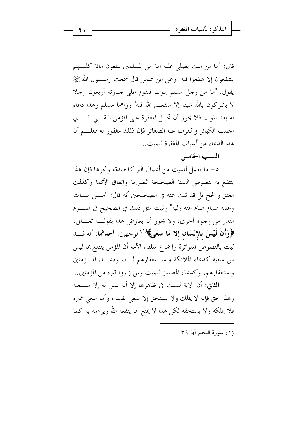قال: "ما من ميت يصلى عليه أمة من المسلمين يبلغون مائة كلــــهم يشفعون إلا شفعوا فيه" وعن ابن عباس قال سمعت رســــول الله ﷺ يقول: "ما من رجل مسلم يموت فيقوم على جنازته أربعون رجلا لا يشركون بالله شيئا إلا شفعهم الله فيه" رواهما مسلم وهذا دعاء له بعد الموت فلا يجوز أن تحمل المغفرة على المؤمن التقـــي الــــذي اجتنب الكبائر وكفرت عنه الصغائر فإن ذلك مغفور له فعلـــم أن هذا الدعاء من أسباب المغفرة للمبت..

السبب الخامس:

٥– ما يعمل للميت من أعمال البر كالصدقة ونحوها فإن هذا ينتفع به بنصوص السنة الصحيحة الصريحة واتفاق الأئمة وكذلك العتق والحج بل قد ثبت عنه في الصحيحين أنه قال: "مــــن مــــات وعليه صيام صام عنه وليه" وثبت مثل ذلك في الصحيح في صـــوم النذر من وجوه أخرى، ولا يجوز أن يعارض هذا بقولـــه تعــــالى: ﴿وَأَنْ لَيْسَ لِلإِنْسَانِ إِلا مَا سَعَى﴾ (`` لوحهين: أحدهما: أنه قـــد ثبت بالنصوص المتواترة وإجماع سلف الأمة أن المؤمن ينتفع بما ليس من سعيه كدعاء الملائكة واستغفارهم لــه، ودعــاء المــؤمنين واستغفارهم، وكدعاء المصلين للميت ولمن زاروا قبره من المؤمنين..

الثاني: أن الآية ليست في ظاهرها إلا أنه ليس له إلا ســـعيه وهذا حق فإنه لا يملك ولا يستحق إلا سعى نفسه، وأما سعى غيره فلا يملكه ولا يستحقه لكن هذا لا يمنع أن ينفعه الله ويرحمه به كما

(١) سورة النجم آية ٣٩.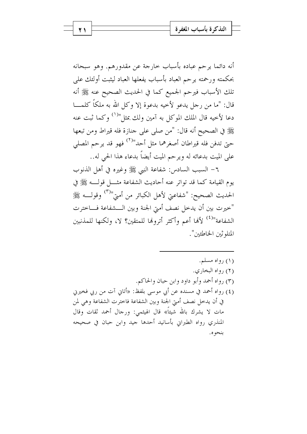أنه دائما يرحم عباده بأسباب حارجة عن مقدورهم. وهو سبحانه بحكمته ورحمته يرحم العباد بأسباب يفعلها العباد ليثبت أولئك علمى تلك الأسباب فيرحم الجميع كما في الحديث الصحيح عنه ﷺ أنه قال: "ما من رجل يدعو لأخيه بدعوة إلا وكل الله به ملكًا كلمـــا دعا لأخيه قال الملك الموكل به آمين ولك بمثل"<sup>(١)</sup> وكما ثبت عنه ﷺ في الصحيح أنه قال: "من صلى على جنازة فله قيراط ومن تبعها حتى تدفن فله قيراطان أصغرهما مثل أحد"<sup>(٢)</sup> فهو قد يرحم المصلى على الميت بدعائه له ويرحم الميت أيضاً بدعاء هذا الحي له..

٦– السبب السادس: شفاعة النبي ﷺ وغيره في أهل الذنوب يوم القيامة كما قد تواتر عنه أحاديث الشفاعة مثــــل قولـــــه ﷺ في الحديث الصحيح: "شفاعتي لأهل الكبائر من أميّ "<sup>(٣)</sup> وقولــــه ﷺ "خيرت بين أن يدخل نصف أمتي الجنة وبين الـــشفاعة فـــاخترت الشفاعة"<sup>(٤)</sup> لألها أعم وأكثر أترولها للمتقين؟ لا، ولكنها للمذنبين المتلوثين الخاطئين".

(۱) رواه مسلم. (٢) رواه البخاري. (٣) رواه أحمد وأبو داود وابن حبان والحاكم. (٤) رواه أحمد في مسنده عن أبي موسى بلفظ: «أتاني آت من ربي فخيرين في أن يدخل نصف أمتي الجنة وبين الشفاعة فاحترت الشفاعة وهي لمن مات لا يشرك بالله شيئاً» قال الهيثمي: ورجال أحمد ثقات وقال المنذري رواه الطيراني بأسانيد أحدها جيد وابن حبان في صحيحه بنحو ه.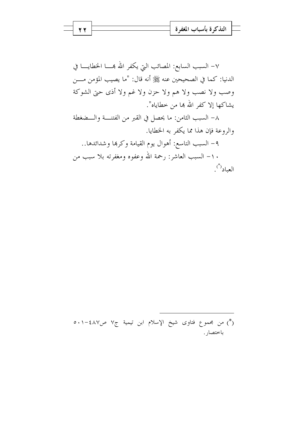$$
\longrightarrow
$$
 14

٧- السبب السابع: المصائب التي يكفر الله بهــــا الخطايــــا في الدنيا: كما في الصحيحين عنه ﷺ أنه قال: "ما يصيب المؤمن مــــن وصب ولا نصب ولا هم ولا حزن ولا غم ولا أذى حتى الشوكة يشاكها إلا كفر الله بما من خطاياه".

٨– السبب الثامن: ما يحصل في القبر من الفتنـــة والـــضغطة والروعة فإن هذا مما يكفر به الخطايا.

٩- السبب التاسع: أهوال يوم القيامة وكرهما وشدائدها.. ١٠– السبب العاشر: رحمة الله وعفوه ومغفرته بلا سبب من العباد(\*).

(\*) من مجموع فتاوى شيخ الإسلام ابن تيمية ج٧ ص٤٨٧-٥٠١ باختصار .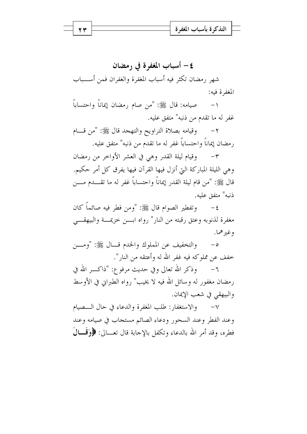## ٤– أسباب المغفرة في رمضان

شهر رمضان تكثر فيه أسباب المغفرة والغفران فمن أســـباب المغفرة فيه:

صيامه: قال ﷺ: "من صام رمضان إيماناً واحتساباً  $-1$ غفر له ما تقدم من ذنبه" متفق عليه.

وقيامه بصلاة التراويح والتهجد قال ﷺ: "من قـــام  $-7$ رمضان إيماناً واحتساباً غفر له ما تقدم من ذنبه" متفق عليه.

٣- وقيام ليلة القدر وهي في العشر الأواخر من رمضان وهي الليلة المباركة التي أنزل فيها القرآن فيها يفرق كل أمر حكيم. قال ﷺ: "من قام ليلة القدر إيماناً واحتساباً غفر له ما تقــــدم مــــن ذنيه" متفق عليه.

٤- وتفطير الصوام قال ﷺ: "ومن فطر فيه صائماً كان مغفرة لذنوبه وعتق رقبته من النار" رواه ابسن خزيمسة والبيهقسي وغيرهما.

والتخفيف عن المملوك والخدم قسال ﷺ: "ومسن  $-\circ$ خفف عن مملوكه فيه غفر الله له وأعتقه من النار".

وذكر الله تعالى وفي حديث مرفوع: "ذاكــــر الله في  $-7$ رمضان مغفور له وسائل الله فيه لا يخيب" رواه الطبراني في الأوسط والبيهقي في شعب الإيمان.

وعند الفطر وعند السحور ودعاء الصائم مستجاب في صيامه وعند فطره، وقد أمر الله بالدعاء وتكفل بالإحابة قال تعـــالي: ﴿وَقَـــالَ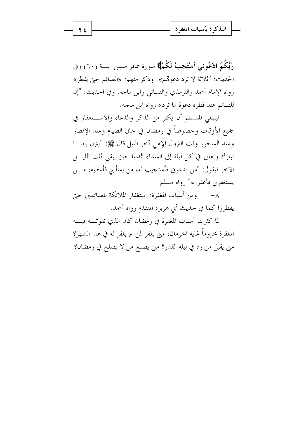رَبُّكُمُ ادْعُونِي أَسْتَجِبْ لَكُمْ﴾ سورة غافر مـــن آيـــة (٦٠) وفي الحديث: "ثلاثة لا ترد دعوتمم». وذكر منهم: «الصائم حتى يفطر» رواه الإمام أحمد والترمذي والنسائي وابن ماجه. وفي الحديث: "إن للصائم عند فطره دعوة ما ترد» رواه ابن ماجه.

فينبغي للمسلم أن يكثر من الذكر والدعاء والاستغفار في جميع الأوقات وخصوصاً في رمضان في حال الصيام وعند الإفطار وعند السحور وقت النزول الإلهي آخر الليل قال ﷺ: "يتزل ربنـــا الآخر فيقول: "من يدعوني فأستجيب له، من يسألني فأعطيه، مــــن يستغفرني فأغفر له" رواه مسلم.

٨– ومن أسباب المغفرة: استغفار الملائكة للصائمين حيّ يفطروا كما في حديث أبي هريرة المتقدم رواه أحمد.

لما كثرت أسباب المغفرة في رمضان كان الذي تفوتـــه فيــــه المغفرة محروماً غاية الحرمان، متى يغفر لمن لم يغفر له في هذا الشهر؟ متى يقبل من رد في ليلة القدر؟ متى يصلح من لا يصلح في رمضان؟

2 2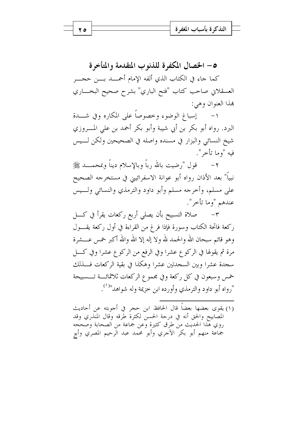0– الخصال المكفرة للذنوب المتقدمة والمتأخرة كما جاء في الكتاب الذي ألفه الإمام أحمـــد بــــن حجــــر العسقلاني صاحب كتاب "فتح الباري" بشرح صحيح البخـــاري هذا العنوان وهي:

١- \_\_ إسباغ الوضوء وحصوصاً على المكاره وفي شــدة البرد. رواه أبو بكر بن أبي شيبة وأبو بكر أحمد بن على المــــروزي شيخ النسائي والبزار في مسنده واصله في الصحيحين ولكن لـــيس فيه "وما تأخر".

قول "رضيت بالله رباً وبالإسلام ديناً وبمحمــــد ﷺ  $-\tau$ نبياً" بعد الأذان رواه أبو عوانة الاسفرائيني في مستخرجه الصحيح على مسلم، وأخرجه مسلم وأبو داود والترمذي والنسائي ولــيس عندهم "وما تأخر".

صلاة التسبيح بأن يصلي أربع ركعات يقرأ في كــــل  $-1$ ركعة فاتحة الكتاب وسورة فإذا فرغ من القراءة في أول ركعة يقـــول وهو قائم سبحان الله والحمد لله ولا إله إلا الله والله أكبر خمس عــــشرة مرة ثم يقولها في الركوع عشرا وفي الرفع من الركوع عشرا وفي كـــل سجدة عشرا وبين السجدتين عشرا وهكذا في بقية الركعات فــذلك خمس وسبعون في كل ركعة وفي مجموع الركعات ثلاثمائسة تسسبيحة "رواه أبو داود والترمذي وأورده ابن حزيمة وله شواهد"<sup>(۱</sup>).

(١) يقوى بعضها بعضاً قال الحافظ ابن حجرٍ في أجوبته عن أحاديث المصابيح والحق أنه في درجة الحسن لكثرة طرقه وقال المنذري وقد روي هذا الحديث من طرق كثيرة وعن جماعة من الصحابة وصححه جماعة منهم أبو بكر الآحري وأبو محمد عبد الرحيم المصري وأبو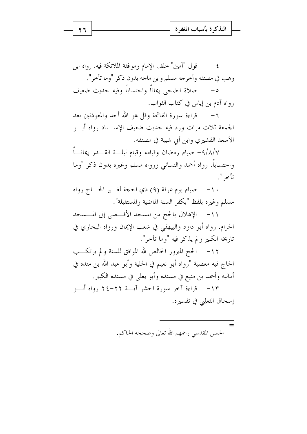قول "آمين" خلف الإمام وموافقة الملائكة فيه. رواه ابن  $-\xi$ وهب في مصنفه وأخرجه مسلم وابن ماجه بدون ذكر "وما تأخر". رواه آدم بن إياس في كتاب الثواب.

٦ – قراءة سورة الفاتحة وقل هو الله أحد والمعوذتين بعد الجمعة ثلاث مرات ورد فيه حديث ضعيف الإسسناد رواه أبسو الأسعد القشيري وابن أبي شيبة في مصنفه.

٩/٨/٧ – صيام رمضان وقيامه وقيام ليلـــة القــــدر إيمانــــاً واحتساباً. رواه أحمد والنسائي ورواه مسلم وغيره بدون ذكر "وما تأخر ".

١٠- صيام يوم عرفة (٩) ذي الحجة لغــير الحـــاج رواه مسلم وغيره بلفظ "يكفر السنة الماضية والمستقبلة".

١١- الإهلال بالحج من المسجد الأقـــصي إلى المـــسجد الحرام. رواه أبو داود والبيهقي في شعب الإيمان ورواه البخاري في تاريخه الكبير و لم يذكر فيه "وما تأخر".

١٢– الحج المبرور الخالص لله الموافق للسنة و لم يرتكـــب الحاج فيه معصية "رواه أبو نعيم في الحلية وأبو عبد الله بن منده في أماليه وأحمد بن منيع في مسنده وأبو يعلى في مسنده الكبير. ١٣- قراءة آخر سورة الحشر آيسة ٢٢-٢٤ رواه أبسو إسحاق الثعلبي في تفسيره.

> $=$ الحسن المقدسي رحمهم الله تعالى وصححه الحاكم.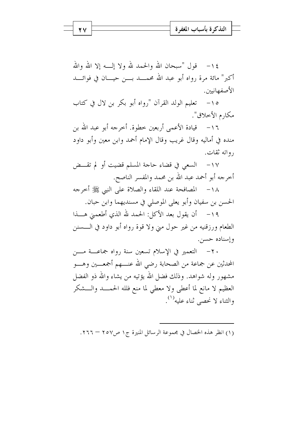١٤ - قول "سبحان الله والحمد لله ولا إلـــه إلا الله والله أكبر" مائة مرة رواه أبو عبد الله محمـــد بــــن حيــــان في فوائــــد الأصفهانيين.

١٥– تعليم الولد القرآن "رواه أبو بكر بن لال في كتاب مكارم الأخلاق".

١٦- \_ قيادة الأعمى أربعين حطوة. أحرجه أبو عبد الله بن منده في أماليه وقال غريب وقال الإمام أحمد وابن معين وأبو داود , واته ثقات.

١٧– السعى في قضاء حاحة المسلم قضيت أو لم تقــض أخرجه أبو أحمد عبد الله بن محمد والمفسر الناصح.

١٨- المصافحة عند اللقاء والصلاة على النبي ﷺ أخرجه الحسن بن سفيان وأبو يعلى الموصلي في مسنديهما وابن حبان.

١٩- أن يقول بعد الأكل: الحمد لله الذي أطعمني هــــذا الطعام ورزقنيه من غير حول مني ولا قوة رواه أبو داود في الــــسنن وإسناده حسن.

٢٠ – التعمير في الإسلام تسعين سنة رواه جماعـــة مــــن المحدثين عن جماعة من الصحابة رضي الله عنــــهم أجمعــــين وهــــو مشهور وله شواهد. وذلك فضل الله يؤتيه من يشاء والله ذو الفضل العظيم لا مانع لما أعطى ولا معطى لما منع فلله الحمـــد والـــشكر والثناء لا نحصى ثناء عليه''.

(١) انظر هذه الخصال في مجموعة الرسائل المنيرة ج١ ص٢٥٧ – ٢٦٦.

27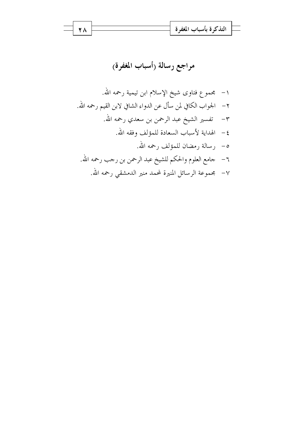$$
\frac{\overline{a}}{\overline{a}} = \frac{\overline{a}}{\overline{a}}
$$
التذكروة

مراجع رسالة رأسباب المغفرة)

 $\overline{Y}$   $\overline{A}$